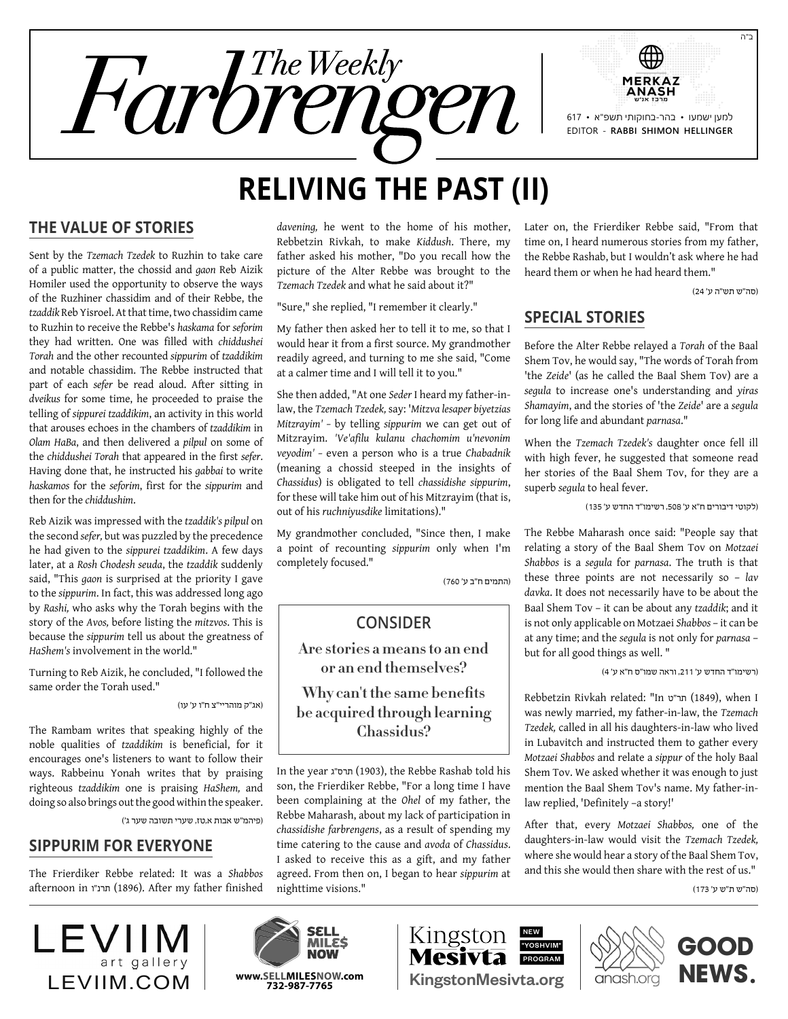

# **Reliving the Past (II)**

# **The Value of Stories**

Sent by the *Tzemach Tzedek* to Ruzhin to take care of a public matter, the chossid and *gaon* Reb Aizik Homiler used the opportunity to observe the ways of the Ruzhiner chassidim and of their Rebbe, the *tzaddik* Reb Yisroel. At that time, two chassidim came to Ruzhin to receive the Rebbe's *haskama* for *seforim* they had written. One was filled with *chiddushei Torah* and the other recounted *sippurim* of *tzaddikim* and notable chassidim. The Rebbe instructed that part of each *sefer* be read aloud. After sitting in *dveikus* for some time, he proceeded to praise the telling of *sippurei tzaddikim*, an activity in this world that arouses echoes in the chambers of *tzaddikim* in *Olam HaBa*, and then delivered a *pilpul* on some of the *chiddushei Torah* that appeared in the first *sefer*. Having done that, he instructed his *gabbai* to write *haskamos* for the *seforim*, first for the *sippurim* and then for the *chiddushim*.

Reb Aizik was impressed with the *tzaddik's pilpul* on the second *sefer,* but was puzzled by the precedence he had given to the *sippurei tzaddikim*. A few days later, at a *Rosh Chodesh seuda*, the *tzaddik* suddenly said, "This *gaon* is surprised at the priority I gave to the *sippurim*. In fact, this was addressed long ago by *Rashi,* who asks why the Torah begins with the story of the *Avos,* before listing the *mitzvos*. This is because the *sippurim* tell us about the greatness of *HaShem's* involvement in the world."

Turning to Reb Aizik, he concluded, "I followed the same order the Torah used."

)אג"ק מוהריי"צ ח"ו ע' עו(

The Rambam writes that speaking highly of the noble qualities of *tzaddikim* is beneficial, for it encourages one's listeners to want to follow their ways. Rabbeinu Yonah writes that by praising righteous *tzaddikim* one is praising *HaShem,* and doing so also brings out the good within the speaker.

)פיהמ"ש אבות א,טז, שערי תשובה שער ג'(

### **Sippurim for Everyone**

The Frierdiker Rebbe related: It was a *Shabbos* afternoon in תרנ"ו (1896). After my father finished

LEVIIN art gallery

*davening,* he went to the home of his mother, Rebbetzin Rivkah, to make *Kiddush*. There, my father asked his mother, "Do you recall how the picture of the Alter Rebbe was brought to the *Tzemach Tzedek* and what he said about it?"

"Sure," she replied, "I remember it clearly."

My father then asked her to tell it to me, so that I would hear it from a first source. My grandmother readily agreed, and turning to me she said, "Come at a calmer time and I will tell it to you."

She then added, "At one *Seder* I heard my father-inlaw, the *Tzemach Tzedek,* say: '*Mitzva lesaper biyetzias Mitzrayim' –* by telling *sippurim* we can get out of Mitzrayim. *'Ve'afilu kulanu chachomim u'nevonim veyodim' –* even a person who is a true *Chabadnik* (meaning a chossid steeped in the insights of *Chassidus*) is obligated to tell *chassidishe sippurim*, for these will take him out of his Mitzrayim (that is, out of his *ruchniyusdike* limitations)."

My grandmother concluded, "Since then, I make a point of recounting *sippurim* only when I'm completely focused."

)התמים ח"ב ע' 760(

# **Consider**

**Are stories a means to an end or an end themselves?**

**Why can't the same benefits be acquired through learning Chassidus?**

In the year חרס"ג (1903), the Rebbe Rashab told his son, the Frierdiker Rebbe, "For a long time I have been complaining at the *Ohel* of my father, the Rebbe Maharash, about my lack of participation in *chassidishe farbrengens*, as a result of spending my time catering to the cause and *avoda* of *Chassidus*. I asked to receive this as a gift, and my father agreed. From then on, I began to hear *sippurim* at nighttime visions."

Later on, the Frierdiker Rebbe said, "From that time on, I heard numerous stories from my father, the Rebbe Rashab, but I wouldn't ask where he had heard them or when he had heard them."

)סה"ש תש"ה ע' 24(

## **Special Stories**

Before the Alter Rebbe relayed a *Torah* of the Baal Shem Tov, he would say, "The words of Torah from 'the *Zeide*' (as he called the Baal Shem Tov) are a *segula* to increase one's understanding and *yiras Shamayim*, and the stories of 'the *Zeide*' are a *segula* for long life and abundant *parnasa*."

When the *Tzemach Tzedek's* daughter once fell ill with high fever, he suggested that someone read her stories of the Baal Shem Tov, for they are a superb *segula* to heal fever.

)לקוטי דיבורים ח"א ע' ,508 רשימו"ד החדש ע' 135(

The Rebbe Maharash once said: "People say that relating a story of the Baal Shem Tov on *Motzaei Shabbos* is a *segula* for *parnasa*. The truth is that these three points are not necessarily so – *lav davka*. It does not necessarily have to be about the Baal Shem Tov – it can be about any *tzaddik*; and it is not only applicable on Motzaei *Shabbos* – it can be at any time; and the *segula* is not only for *parnasa* – but for all good things as well. "

)רשימו"ד החדש ע' ,211 וראה שמו"ס ח"א ע' 4(

Rebbetzin Rivkah related: "In ט"תר) 1849(, when I was newly married, my father-in-law, the *Tzemach Tzedek,* called in all his daughters-in-law who lived in Lubavitch and instructed them to gather every *Motzaei Shabbos* and relate a *sippur* of the holy Baal Shem Tov. We asked whether it was enough to just mention the Baal Shem Tov's name. My father-inlaw replied, 'Definitely –a story!'

After that, every *Motzaei Shabbos,* one of the daughters-in-law would visit the *Tzemach Tzedek,* where she would hear a story of the Baal Shem Tov, and this she would then share with the rest of us."

)סה"ש ת"ש ע' 173(





NEW "YOSHVIM"





ב"ה